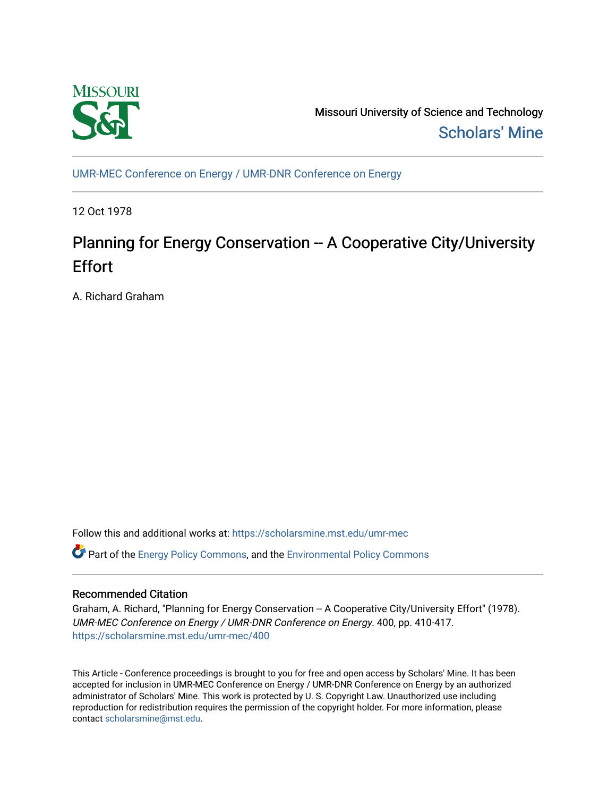

Missouri University of Science and Technology [Scholars' Mine](https://scholarsmine.mst.edu/) 

[UMR-MEC Conference on Energy / UMR-DNR Conference on Energy](https://scholarsmine.mst.edu/umr-mec)

12 Oct 1978

# Planning for Energy Conservation -- A Cooperative City/University **Effort**

A. Richard Graham

Follow this and additional works at: [https://scholarsmine.mst.edu/umr-mec](https://scholarsmine.mst.edu/umr-mec?utm_source=scholarsmine.mst.edu%2Fumr-mec%2F400&utm_medium=PDF&utm_campaign=PDFCoverPages) 

**C** Part of the [Energy Policy Commons](http://network.bepress.com/hgg/discipline/1065?utm_source=scholarsmine.mst.edu%2Fumr-mec%2F400&utm_medium=PDF&utm_campaign=PDFCoverPages), and the Environmental Policy Commons

# Recommended Citation

Graham, A. Richard, "Planning for Energy Conservation -- A Cooperative City/University Effort" (1978). UMR-MEC Conference on Energy / UMR-DNR Conference on Energy. 400, pp. 410-417. [https://scholarsmine.mst.edu/umr-mec/400](https://scholarsmine.mst.edu/umr-mec/400?utm_source=scholarsmine.mst.edu%2Fumr-mec%2F400&utm_medium=PDF&utm_campaign=PDFCoverPages) 

This Article - Conference proceedings is brought to you for free and open access by Scholars' Mine. It has been accepted for inclusion in UMR-MEC Conference on Energy / UMR-DNR Conference on Energy by an authorized administrator of Scholars' Mine. This work is protected by U. S. Copyright Law. Unauthorized use including reproduction for redistribution requires the permission of the copyright holder. For more information, please contact [scholarsmine@mst.edu](mailto:scholarsmine@mst.edu).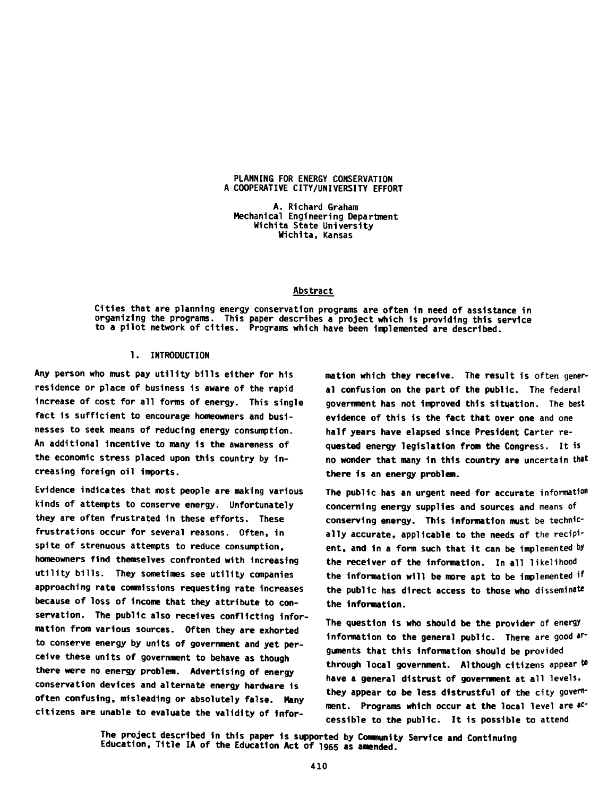#### PLANNING FOR ENERGY CONSERVATION A COOPERATIVE CITY/UNIVERSITY EFFORT

A. Richard Graham Mechanical Engineering Department Wichita State University Wichita, Kansas

#### Abstract

Cities that are planning energy conservation programs are often in need of assistance in organizing the programs. This paper describes a project which is providing this service to a pilot network of cities. Programs which have been Implemented are described.

# 1. INTRODUCTION

Any person who must pay utility bills either for h1s residence or place of business is aware of the rapid increase of cost for all forms of energy. This single fact is sufficient to encourage homeowners and businesses to seek means of reducing energy consumption. An additional incentive to many is the awareness of the economic stress placed upon this country by Increasing foreign oil imports.

Evidence indicates that most people are making various kinds of attempts to conserve energy. Unfortunately they are often frustrated in these efforts. These frustrations occur for several reasons. Often, in spite of strenuous attempts to reduce consumption, homeowners find themselves confronted with increasing utility bills. They sometimes see utility companies approaching rate commissions requesting rate increases because of loss of income that they attribute to conservation. The public also receives conflicting information from various sources. Often they are exhorted to conserve energy by units of government and yet perceive these units of government to behave as though there were no energy problem. Advertising of energy conservation devices and alternate energy hardware is often confusing, misleading or absolutely false. Many citizens are unable to evaluate the validity of information which they receive. The result is often general confusion on the part of the public. The federal government has not Improved this situation. The best evidence of this is the fact that over one and one half years have elapsed since President Carter requested energy legislation from the Congress. It is no wonder that many 1n this country are uncertain that there 1s an energy problem.

The public has an urgent need for accurate information concerning energy supplies and sources and means of conserving energy. This Information must be technically accurate, applicable to the needs of the recipient, and in a form such that it can be implemented by the receiver of the Information. In all likelihood the information will be more apt to be Implemented if the public has direct access to those who **disseminate** the Information.

The question is who should be the provider of energy information to the general public. There are good arguments that this Information should be provided through local government. Although citizens appear to have a general distrust of government at all levels, they appear to be less distrustful of the city government. Programs which occur at the local level are accessible to the public. It is possible to attend

The project described in this paper is supported by Community Service and Continuing Education, Title IA of the Education Act of **1965** as amended.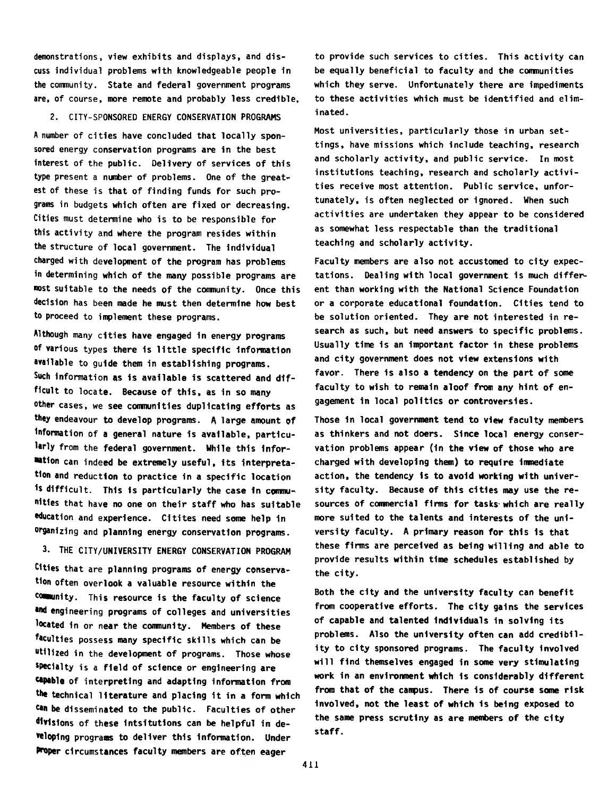demonstrations, view exhibits and displays, and discuss individual problems with knowledgeable people in the community. State and federal government programs are, of course, more remote and probably less credible,

#### 2. CITY-SPONSORED ENERGY CONSERVATION PROGRAMS

A number of cities have concluded that locally sponsored energy conservation programs are in the best interest of the public. Delivery of services of this type present a number of problems. One of the greatest of these is that of finding funds for such programs in budgets which often are fixed or decreasing. Cities must determine who is to be responsible for this activity and where the program resides within the structure of local government. The individual charged with development of the program has problems in determining which of the many possible programs are most suitable to the needs of the community. Once this decision has been made he must then determine how best to proceed to implement these programs.

Although many cities have engaged in energy programs of various types there is little specific information available to guide them in establishing programs. Such information as is available is scattered and difficult to locate. Because of this, as in so many other cases, we see communities duplicating efforts as they endeavour to develop programs. A large amount of information of a general nature is available, particularly from the federal government. While this information can indeed be extremely useful, its interpretation and reduction to practice in a specific location is difficult. This is particularly the case in communitles that have no one on their staff who has suitable education and experience. Citites need some help in organizing and planning energy conservation programs.

## 3. THE CITY/UNIVERSITY ENERGY CONSERVATION PROGRAM

Cities that are planning programs of energy conservation often overlook a valuable resource within the cowunity. This resource is the faculty of science and engineering programs of colleges and universities located in or near the community. Members of these faculties possess many specific skills which can be utilized in the development of programs. Those whose specialty is a field of science or engineering are capable of interpreting and adapting information from the technical literature and placing it in a form which ten be disseminated to the public. Faculties of other divisions of these 1nts1tut1ons can be helpful in developing programs to deliver this Information. Under Proper circumstances faculty members are often eager

to provide such services to cities. This activity can be equally beneficial to faculty and the communities which they serve. Unfortunately there are impediments to these activities which must be identified and eliminated.

Most universities, particularly those in urban settings, have missions which include teaching, research and scholarly activity, and public service. In most institutions teaching, research and scholarly activities receive most attention. Public service, unfortunately, is often neglected or ignored. When such activities are undertaken they appear to be considered as somewhat less respectable than the traditional teaching and scholarly activity.

Faculty members are also not accustomed to city expectations. Dealing with local government 1s much different than working with the National Science Foundation or a corporate educational foundation. Cities tend to be solution oriented. They are not interested in research as such, but need answers to specific problems. Usually time is an important factor in these problems and city government does not view extensions with favor. There is also a tendency on the part of some faculty to wish to remain aloof from any hint of engagement in local politics or controversies.

Those in local government tend to view faculty members as thinkers and not doers. Since local energy conservation problems appear (1n the view of those who are charged with developing them) to require immediate action, the tendency is to avoid working with university faculty. Because of this cities may use the resources of commercial firms for tasks which are really more suited to the talents and interests of the university faculty. A primary reason for this 1s that these firms are perceived as being willing and able to provide results within time schedules established by the city.

Both the city and the university faculty can benefit from cooperative efforts. The city gains the services of capable and talented individuals in solving its problems. Also the university often can add credibility to city sponsored programs. The faculty involved will find themselves engaged in some very stimulating work in an environment which 1s considerably different from that of the campus. There is of course some risk involved, not the least of which is being exposed to the same press scrutiny as are members of the city staff.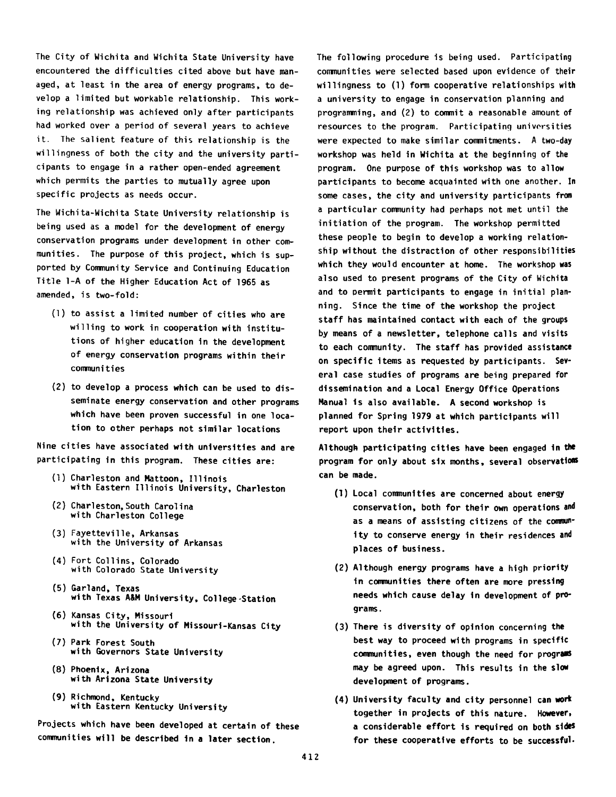The City of Wichita and Wichita State University have encountered the difficulties cited above but have managed, at least in the area of energy programs, to develop a limited but workable relationship. This working relationship was achieved only after participants had worked over a period of several years to achieve it. The salient feature of this relationship is the willingness of both the city and the university participants to engage in a rather open-ended agreement which permits the parties to mutually agree upon specific projects as needs occur.

The Wichita-Wichita State University relationship is being used as a model for the development of energy conservation programs under development in other communities. The purpose of this project, which is supported by Community Service and Continuing Education Title 1-A of the Higher Education Act of 1965 as amended, is two-fold:

- (1) to assist a limited number of cities who are willing to work in cooperation with institutions of higher education in the development of energy conservation programs within their communities
- (2) to develop a process which can be used to disseminate energy conservation and other programs which have been proven successful in one location to other perhaps not similar locations

Nine cities have associated with universities and are participating in this program. These cities are:

- (1) Charleston and Mattoon, Illinois with Eastern Illinois University, Charleston
- (2) Charleston,South Carolina with Charleston College
- (3) Fayetteville, Arkansas with the University of Arkansas
- (4) Fort Collins, Colorado with Colorado State University
- (5) Garland, Texas with Texas ASM University, Col lege-Station
- (6) Kansas City, Missouri with the University of Missouri-Kansas City
- (7) Park Forest South with Governors State University
- (8) Phoenix, Arizona with Arizona State University
- (9) Richmond, Kentucky with Eastern Kentucky University

Projects which have been developed at certain of these communities will be described in a later section.

The following procedure is being used. Participating communities were selected based upon evidence of their willingness to (1) form cooperative relationships with a university to engage in conservation planning and programming, and (2) to commit a reasonable amount of resources to the program. Participating universities were expected to make similar commitments. A two-day workshop was held in Wichita at the beginning of the program. One purpose of this workshop was to allow participants to become acquainted with one another. In some cases, the city and university participants from a particular community had perhaps not met until the initiation of the program. The workshop permitted these people to begin to develop a working relationship without the distraction of other responsibilities which they would encounter at home. The workshop was also used to present programs of the City of Wichita and to permit participants to engage in initial planning. Since the time of the workshop the project staff has maintained contact with each of the groups by means of a newsletter, telephone calls and visits to each community. The staff has provided assistance on specific items as requested by participants. Several case studies of programs are being prepared for dissemination and a Local Energy Office Operations Manual is also available. A second workshop is planned for Spring 1979 at which participants will report upon their activities.

Although participating cities have been engaged in the program for only about six months, several observations can be made.

- (1) Local communities are concerned about energy conservation, both for their own operations and as a means of assisting citizens of the community to conserve energy in their residences and places of business.
- (2) Although energy programs have a high priority in communities there often are more pressing needs which cause delay in development of programs.
- (3) There is diversity of opinion concerning the best way to proceed with programs in specific communities, even though the need for programs may be agreed upon. This results in the slow development of programs.
- (4) University faculty and city personnel can work together in projects of this nature. However, a considerable effort is required on both sides for these cooperative efforts to be successful-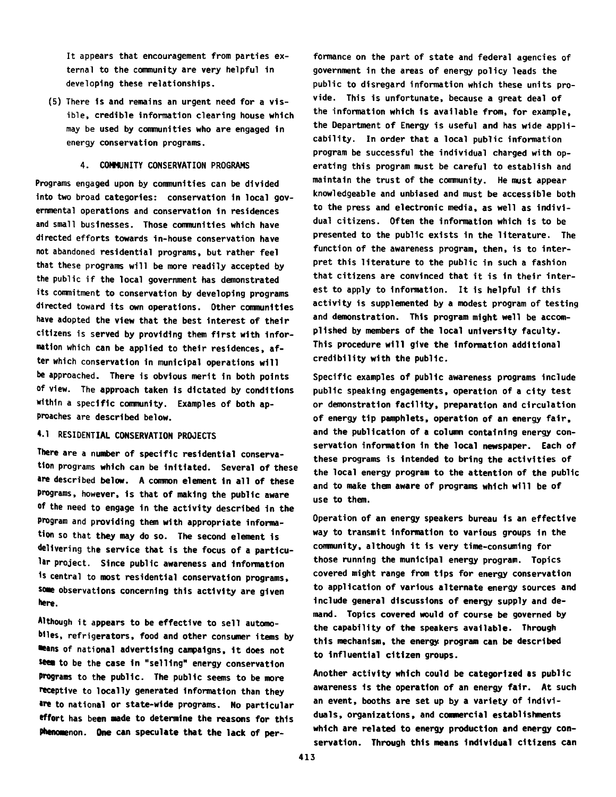It appears that encouragement from parties external to the community are very helpful in developing these relationships.

(5) There is and remains an urgent need for a visible, credible information clearing house which may be used by communities who are engaged in energy conservation programs.

## 4. COMMUNITY CONSERVATION PROGRAMS

Programs engaged upon by communities can be divided into two broad categories: conservation in local governmental operations and conservation in residences and small businesses. Those comnunities which have directed efforts towards in-house conservation have not abandoned residential programs, but rather feel that these programs will be more readily accepted by the public if the local government has demonstrated its commitment to conservation by developing programs directed toward its own operations. Other comnunities have adopted the view that the best interest of their citizens is served by providing them first with Information which can be applied to their residences, after which conservation in municipal operations will be approached. There is obvious merit in both points of view. The approach taken is dictated by conditions within a specific community. Examples of both approaches are described below.

# 4.1 RESIDENTIAL CONSERVATION PROJECTS

There are a number of specific residential conservation programs which can be Initiated. Several of these are described below. A common element in all of these programs, however, is that of making the public aware of the need to engage in the activity described in the program and providing them with appropriate information so that they may do so. The second element is delivering the service that is the focus of a particular project. Since public awareness and information is central to most residential conservation programs, some observations concerning this activity are given here.

Although it appears to be effective to sell automobiles, refrigerators, food and other consumer items by ■eans of national advertising campaigns, 1t does not seem to be the case in "selling" energy conservation Programs to the public. The public seems to be more receptive to locally generated Information than they are to national or state-wide programs. No particular effort has been made to determine the reasons for this Phenomenon. One can speculate that the lack of per-

formance on the part of state and federal agencies of government in the areas of energy policy leads the public to disregard information which these units provide. This is unfortunate, because a great deal of the information which is available from, for example, the Department of Energy is useful and has wide applicability. In order that a local public information program be successful the individual charged with operating this program must be careful to establish and maintain the trust of the community. He must appear knowledgeable and unbiased and must be accessible both to the press and electronic media, as well as individual citizens. Often the information which is to be presented to the public exists in the literature. The function of the awareness program, then, is to interpret this literature to the public in such a fashion that citizens are convinced that it is in their interest to apply to information. It is helpful if this activity is supplemented by a modest program of testing and demonstration. This program might well be accomplished by members of the local university faculty. This procedure will give the information additional credibility with the public.

Specific examples of public awareness programs include public speaking engagements, operation of a city test or demonstration facility, preparation and circulation of energy tip pamphlets, operation of an energy fair, and the publication of a column containing energy conservation information in the local newspaper. Each of these programs is Intended to bring the activities of the local energy program to the attention of the public and to make them aware of programs which will be of use to them.

Operation of an energy speakers bureau 1s an effective way to transmit information to various groups in the community, although it is very time-consuming for those running the municipal energy program. Topics covered might range from tips for energy conservation to application of various alternate energy sources and include general discussions of energy supply and demand. Topics covered would of course be governed by the capability of the speakers available. Through this mechanism, the energy, program can be described to Influential citizen groups.

Another activity which could be categorized as public awareness is the operation of an energy fair. At such an event, booths are set up by a variety of individuals, organizations, and commercial establishments which are related to energy production and energy conservation. Through this means Individual citizens can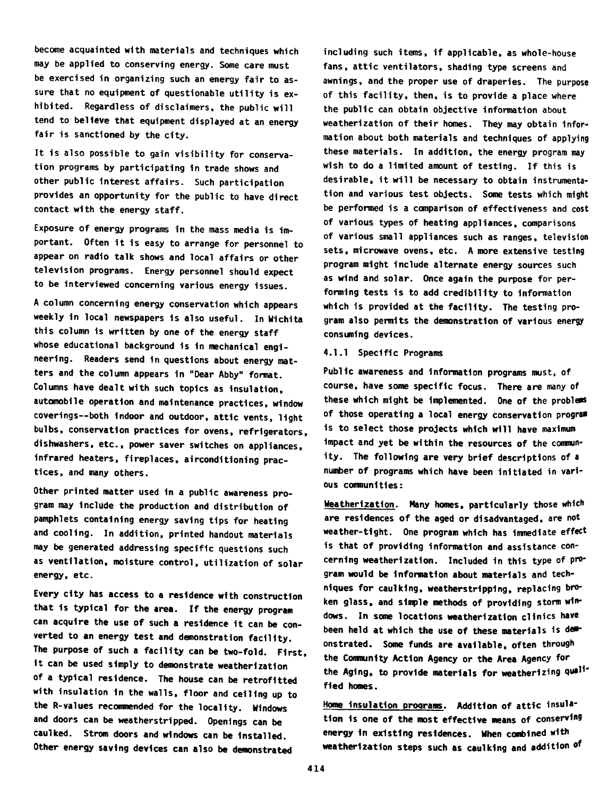become acquainted with materials and techniques which may be applied to conserving energy. Some care must be exercised in organizing such an energy fair to assure that no equipment of questionable utility is exhibited. Regardless of disclaimers, the public will tend to believe that equipment displayed at an energy fair is sanctioned by the city.

It is also possible to gain visibility for conservation programs by participating in trade shows and other public interest affairs. Such participation provides an opportunity for the public to have direct contact with the energy staff.

Exposure of energy programs in the mass media is important. Often it is easy to arrange for personnel to appear on radio talk shows and local affairs or other television programs. Energy personnel should expect to be interviewed concerning various energy issues.

A column concerning energy conservation which appears weekly in local newspapers is also useful. In Wichita this column is written by one of the energy staff whose educational background is in mechanical engineering. Readers send in questions about energy matters and the column appears in "Dear Abby" format. Columns have dealt with such topics as insulation, automobile operation and maintenance practices, window coverings— both indoor and outdoor, attic vents, light bulbs, conservation practices for ovens, refrigerators, dishwashers, etc., power saver switches on appliances, infrared heaters, fireplaces, airconditioning practices, and many others.

Other printed matter used in a public awareness program may include the production and distribution of pamphlets containing energy saving tips for heating and cooling. In addition, printed handout materials may be generated addressing specific questions such as ventilation, moisture control, utilization of solar energy, etc.

Every city has access to a residence with construction that is typical for the area. If the energy program can acquire the use of such a residence it can be converted to an energy test and demonstration facility. The purpose of such a facility can be two-fold. First, it can be used simply to demonstrate weatherization of a typical residence. The house can be retrofitted with insulation in the walls, floor and ceiling up to the R-values recoranended for the locality. Windows and doors can be weatherstripped. Openings can be caulked. Strom doors and windows can be Installed. Other energy saving devices can also be demonstrated

including such items, if applicable, as whole-house fans, attic ventilators, shading type screens and awnings, and the proper use of draperies. The purpose of this facility, then, is to provide a place where the public can obtain objective information about weatherization of their homes. They may obtain Information about both materials and techniques of applying these materials. In addition, the energy program may wish to do a limited amount of testing. If this is desirable, it will be necessary to obtain instrumentation and various test objects. Some tests which might be performed is a comparison of effectiveness and cost of various types of heating appliances, comparisons of various small appliances such as ranges, television sets, microwave ovens, etc. A more extensive testing program might include alternate energy sources such as wind and solar. Once again the purpose for performing tests is to add credibility to Information which 1s provided at the facility. The testing program also permits the demonstration of various energy consuming devices.

#### 4.1.1 Specific Programs

Public awareness and information programs must, of course, have some specific focus. There are many of these which might be implemented. One of the **problems** of those operating a local energy conservation program is to select those projects which will have maximum Impact and yet be within the resources of the community. The following are very brief descriptions of a number of programs which have been initiated in various comnunities:

Weatherization. Many homes, particularly those which are residences of the aged or disadvantaged, are not weather-tight. One program which has immediate effect is that of providing information and assistance concerning weatherization. Included in this type of program would be information about materials and techniques for caulking, weatherstripping, replacing broken glass, and simple methods of providing storm windows. In some locations weatherization clinics have been held at which the use of these materials is demonstrated. Some funds are available, often through the Community Action Agency or the Area Agency for the Aging, to provide materials for weatherizing qualified homes.

Home insulation programs. Addition of attic insulation is one of the most effective means of conserving energy in existing residences. When combined with weatherization steps such as caulking and addition of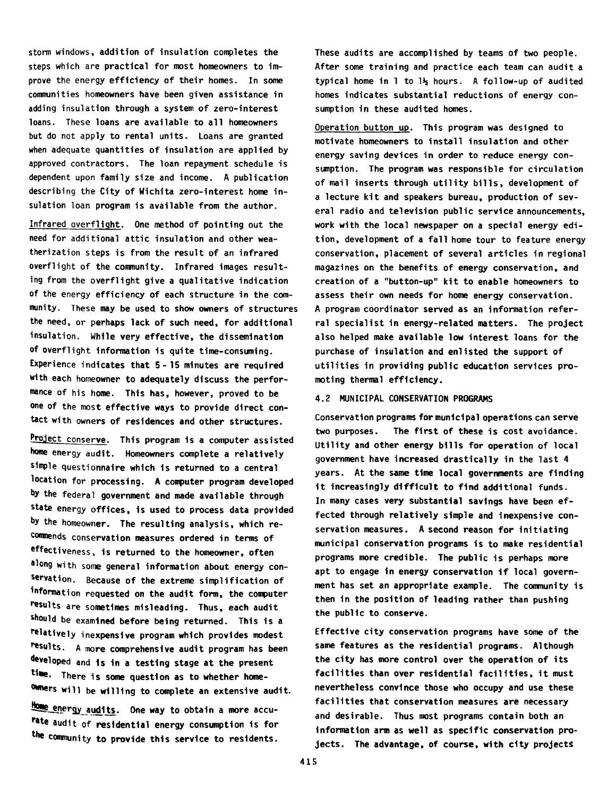storm windows, addition of insulation completes the steps which are practical for most homeowners to improve the energy efficiency of their homes. In some comnunities homeowners have been given assistance in adding insulation through a system of zero-interest loans. These loans are available to all homeowners but do not apply to rental units. Loans are granted when adequate quantities of insulation are applied by approved contractors. The loan repayment schedule is dependent upon family size and income. A publication describing the City of Wichita zero-interest home insulation loan program is available from the author.

Infrared overflight. One method of pointing out the need for additional attic insulation and other weatherization steps is from the result of an infrared overflight of the community. Infrared images resulting from the overflight give a qualitative indication of the energy efficiency of each structure in the community. These may be used to show owners of structures the need, or perhaps lack of such need, for additional insulation. While very effective, the dissemination of overflight information is quite time-consuming. Experience indicates that 5-15 minutes are required with each homeowner to adequately discuss the performance of his home. This has, however, proved to be one of the most effective ways to provide direct contact with owners of residences and other structures.

Project conserve. This program is a computer assisted home energy audit. Homeowners complete a relatively simple questionnaire which is returned to a central location for processing. A computer program developed by the federal government and made available through state energy offices, is used to process data provided by the homeowner. The resulting analysis, which reconmends conservation measures ordered in terms of effectiveness, is returned to the homeowner, often along with some general information about energy conservation. Because of the extreme simplification of ^formation requested on the audit form, the computer results are sometimes misleading. Thus, each audit should be examined before being returned. This is a relatively ine**xpensive program which provides modest** results. A more comprehensive audit program has been developed and is in a testing stage at the present time. There is some question as to whether home-Owners will be willing to complete an extensive audit.

Home energy audits. One way to obtain a more accurate audit of residential energy consumption is for the community to provide this service to residents.

These audits are accomplished by teams of two people. After some training and practice each team can audit a typical home in 1 to  $1\frac{1}{2}$  hours. A follow-up of audited homes indicates substantial reductions of energy consumption in these audited homes.

Operation button up. This program was designed to motivate homeowners to install insulation and other energy saving devices in order to reduce energy consumption. The program was responsible for circulation of mail inserts through utility bills, development of a lecture kit and speakers bureau, production of several radio and television public service announcements, work with the local newspaper on a special energy edition, development of a fall home tour to feature energy conservation, placement of several articles in regional magazines on the benefits of energy conservation, and creation of a "button-up" kit to enable homeowners to assess their own needs for home energy conservation. A program coordinator served as an information referral specialist in energy-related matters. The project also helped make available low interest loans for the purchase of insulation and enlisted the support of utilities in providing public education services promoting thermal efficiency.

## 4.2 MUNICIPAL CONSERVATION PROGRAMS

Conservation programs for municipal operations can serve two purposes. The first of these is cost avoidance. Utility and other energy bills for operation of local government have increased drastically in the last 4 years. At the same time local governments are finding it increasingly difficult to find additional funds. In many cases very substantial savings have been effected through relatively simple and inexpensive conservation measures. A second reason for initiating municipal conservation programs is to make residential programs more credible. The public is perhaps more apt to engage in energy conservation if local government has set an appropriate example. The community is then in the position of leading rather than pushing the public to conserve.

Effective city conservation programs have some of the same features as the residential programs. Although the city has more control over the operation of its facilities than over residential facilities, it must nevertheless convince those who occupy and use these facilities that conservation measures are necessary and desirable. Thus most programs contain both an information arm as well as specific conservation projects. The advantage, of course, with city projects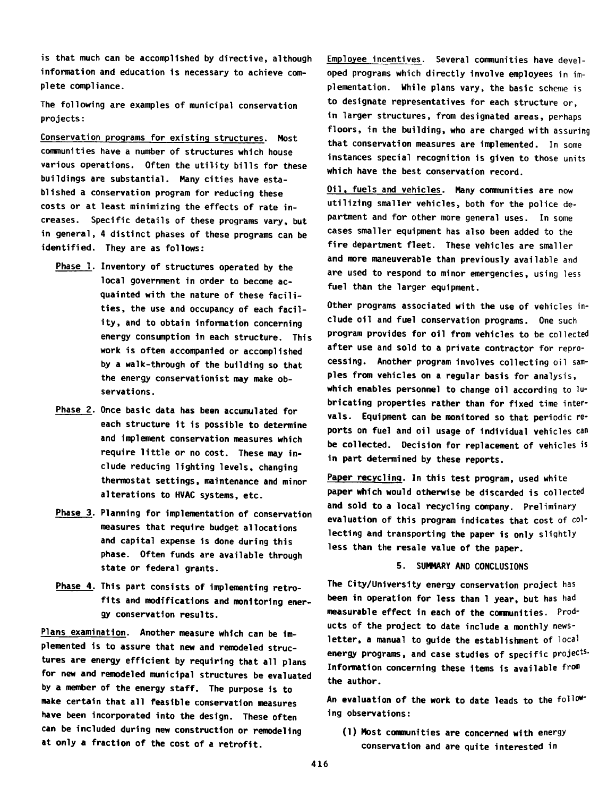is that much can be accomplished by directive, although information and education is necessary to achieve complete compliance.

The following are examples of municipal conservation projects:

Conservation programs for existing structures. Most communities have a number of structures which house various operations. Often the utility bills for these buildings are substantial. Many cities have established a conservation program for reducing these costs or at least minimizing the effects of rate increases. Specific details of these programs vary, but in general, 4 distinct phases of these programs can be identified. They are as follows:

- Phase 1. Inventory of structures operated by the local government in order to become acquainted with the nature of these facilities, the use and occupancy of each facility, and to obtain information concerning energy consumption in each structure. This work is often accompanied or accomplished by a walk-through of the building so that the energy conservationist may make observations.
- Phase 2. Once basic data has been accumulated for each structure it is possible to determine and implement conservation measures which require little or no cost. These may include reducing lighting levels, changing thermostat settings, maintenance and minor alterations to HVAC systems, etc.
- Phase 3. Planning for implementation of conservation measures that require budget allocations and capital expense is done during this phase. Often funds are available through state or federal grants.
- Phase 4. This part consists of implementing retrofits and modifications and monitoring energy conservation results.

Plans examination. Another measure which can be implemented is to assure that new and remodeled structures are energy efficient by requiring that all plans for new and remodeled municipal structures be evaluated by a member of the energy staff. The purpose is to make certain that all feasible conservation measures have been incorporated into the design. These often can be included during new construction or remodeling at only a fraction of the cost of a retrofit.

Employee incentives. Several communities have developed programs which directly involve employees in implementation. While plans vary, the basic scheme is to designate representatives for each structure or, in larger structures, from designated areas, perhaps floors, in the building, who are charged with assuring that conservation measures are implemented. In some instances special recognition is given to those units which have the best conservation record.

Oil, fuels and vehicles. Many comnunities are now utilizing smaller vehicles, both for the police department and for other more general uses. In some cases smaller equipment has also been added to the fire department fleet. These vehicles are smaller and more maneuverable than previously available and are used to respond to minor emergencies, using less fuel than the larger equipment.

Other programs associated with the use of vehicles include oil and fuel conservation programs. One such program provides for oil from vehicles to be collected after use and sold to a private contractor for reprocessing. Another program involves collecting oil samples from vehicles on a regular basis for analysis, which enables personnel to change oil according to lubricating properties rather than for fixed time intervals. Equipment can be monitored so that periodic reports on fuel and oil usage of individual vehicles can be collected. Decision for replacement of vehicles is in part determined by these reports.

Paper recycling. In this test program, used white paper which would otherwise be discarded is collected and sold to a local recycling company. Preliminary evaluation of this program indicates that cost of collecting and transporting the paper is only slightly less than the resale value of the paper.

#### 5. SUMMARY AND CONCLUSIONS

The City/University energy conservation project has been in operation for less than 1 year, but has had measurable effect in each of the communities. Products of the project to date include a monthly newsletter, a manual to guide the establishment of local energy programs, and case studies of specific projects. Information concerning these items 1s available from the author.

An evaluation of the work to date leads to the following observations:

(1) Most communities are concerned with energy conservation and are quite interested in